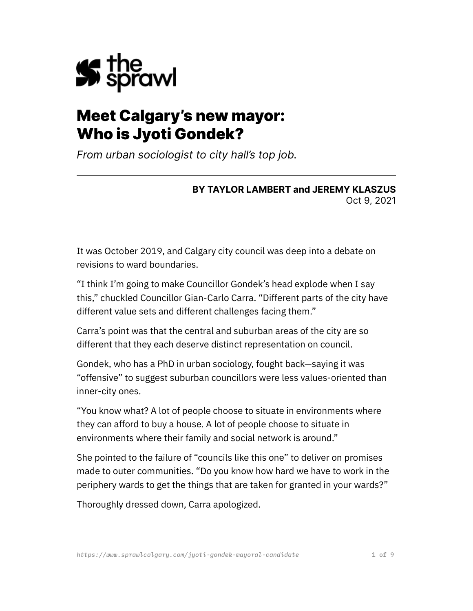

# Meet Calgary's new mayor: Who is Jyoti Gondek?

*From urban sociologist to city hall's top job.*

#### **BY TAYLOR LAMBERT and JEREMY KLASZUS** Oct 9, 2021

It was October 2019, and Calgary city council was deep into a debate on revisions to ward boundaries.

"I think I'm going to make Councillor Gondek's head explode when I say this," chuckled Councillor Gian-Carlo Carra. "Different parts of the city have different value sets and different challenges facing them."

Carra's point was that the central and suburban areas of the city are so different that they each deserve distinct representation on council.

Gondek, who has a PhD in urban sociology, fought back—saying it was "offensive" to suggest suburban councillors were less values-oriented than inner-city ones.

"You know what? A lot of people choose to situate in environments where they can afford to buy a house. A lot of people choose to situate in environments where their family and social network is around."

She pointed to the failure of "councils like this one" to deliver on promises made to outer communities. "Do you know how hard we have to work in the periphery wards to get the things that are taken for granted in your wards?"

Thoroughly dressed down, Carra apologized.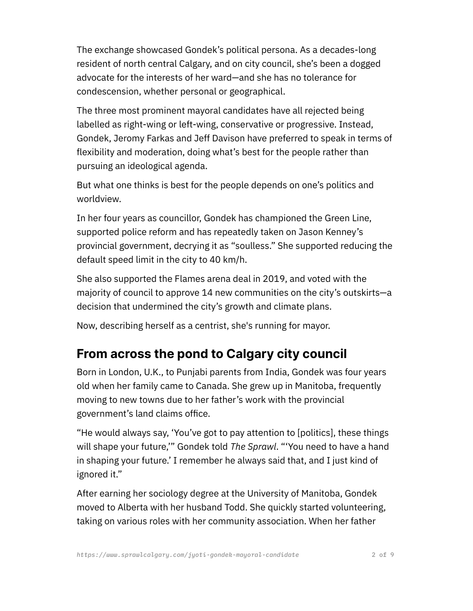The exchange showcased Gondek's political persona. As a decades-long resident of north central Calgary, and on city council, she's been a dogged advocate for the interests of her ward—and she has no tolerance for condescension, whether personal or geographical.

The three most prominent mayoral candidates have all rejected being labelled as right-wing or left-wing, conservative or progressive. Instead, Gondek, Jeromy Farkas and Jeff Davison have preferred to speak in terms of flexibility and moderation, doing what's best for the people rather than pursuing an ideological agenda.

But what one thinks is best for the people depends on one's politics and worldview.

In her four years as councillor, Gondek has championed the Green Line, supported police reform and has repeatedly taken on Jason Kenney's provincial government, decrying it as "soulless." She supported reducing the default speed limit in the city to 40 km/h.

She also supported the Flames arena deal in 2019, and voted with the majority of council to approve 14 new communities on the city's outskirts—a decision that undermined the city's growth and climate plans.

Now, describing herself as a centrist, she's running for mayor.

## **From across the pond to Calgary city council**

Born in London, U.K., to Punjabi parents from India, Gondek was four years old when her family came to Canada. She grew up in Manitoba, frequently moving to new towns due to her father's work with the provincial government's land claims office.

"He would always say, 'You've got to pay attention to [politics], these things will shape your future,'" Gondek told *The Sprawl*. "'You need to have a hand in shaping your future.' I remember he always said that, and I just kind of ignored it."

After earning her sociology degree at the University of Manitoba, Gondek moved to Alberta with her husband Todd. She quickly started volunteering, taking on various roles with her community association. When her father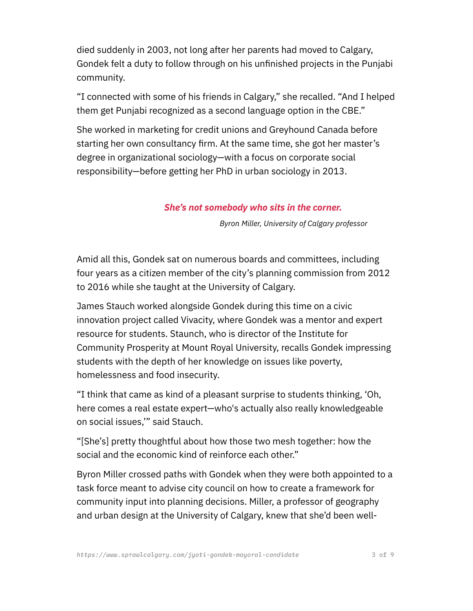died suddenly in 2003, not long after her parents had moved to Calgary, Gondek felt a duty to follow through on his unfinished projects in the Punjabi community.

"I connected with some of his friends in Calgary," she recalled. "And I helped them get Punjabi recognized as a second language option in the CBE."

She worked in marketing for credit unions and Greyhound Canada before starting her own consultancy firm. At the same time, she got her master's degree in organizational sociology—with a focus on corporate social responsibility—before getting her PhD in urban sociology in 2013.

#### *She's not somebody who sits in the corner.*

*Byron Miller, University of Calgary professor*

Amid all this, Gondek sat on numerous boards and committees, including four years as a citizen member of the city's planning commission from 2012 to 2016 while she taught at the University of Calgary.

James Stauch worked alongside Gondek during this time on a civic innovation project called Vivacity, where Gondek was a mentor and expert resource for students. Staunch, who is director of the Institute for Community Prosperity at Mount Royal University, recalls Gondek impressing students with the depth of her knowledge on issues like poverty, homelessness and food insecurity.

"I think that came as kind of a pleasant surprise to students thinking, 'Oh, here comes a real estate expert—who's actually also really knowledgeable on social issues,'" said Stauch.

"[She's] pretty thoughtful about how those two mesh together: how the social and the economic kind of reinforce each other."

Byron Miller crossed paths with Gondek when they were both appointed to a task force meant to advise city council on how to create a framework for community input into planning decisions. Miller, a professor of geography and urban design at the University of Calgary, knew that she'd been well-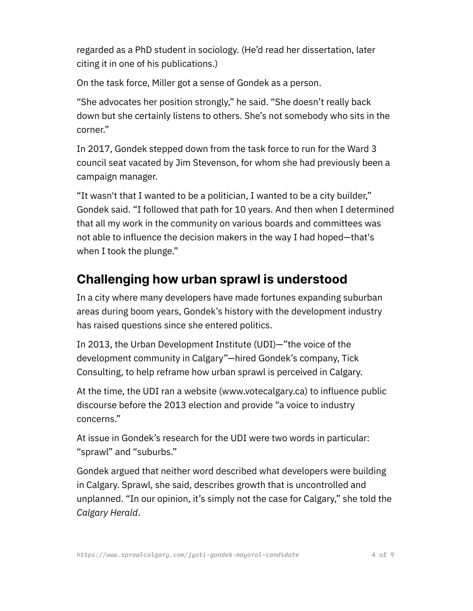regarded as a PhD student in sociology. (He'd read her dissertation, later citing it in one of his publications.)

On the task force, Miller got a sense of Gondek as a person.

"She advocates her position strongly," he said. "She doesn't really back down but she certainly listens to others. She's not somebody who sits in the corner."

In 2017, Gondek stepped down from the task force to run for the Ward 3 council seat vacated by Jim Stevenson, for whom she had previously been a campaign manager.

"It wasn't that I wanted to be a politician, I wanted to be a city builder," Gondek said. "I followed that path for 10 years. And then when I determined that all my work in the community on various boards and committees was not able to influence the decision makers in the way I had hoped—that's when I took the plunge."

## **Challenging how urban sprawl is understood**

In a city where many developers have made fortunes expanding suburban areas during boom years, Gondek's history with the development industry has raised questions since she entered politics.

In 2013, the Urban Development Institute (UDI)—"the voice of the development community in Calgary"—hired Gondek's company, Tick Consulting, to help reframe how urban sprawl is perceived in Calgary.

At the time, the UDI ran a website (www.votecalgary.ca) to influence public discourse before the 2013 election and provide "a voice to industry concerns."

At issue in Gondek's research for the UDI were two words in particular: "sprawl" and "suburbs."

Gondek argued that neither word described what developers were building in Calgary. Sprawl, she said, describes growth that is uncontrolled and unplanned. "In our opinion, it's simply not the case for Calgary," she told the *Calgary Herald*.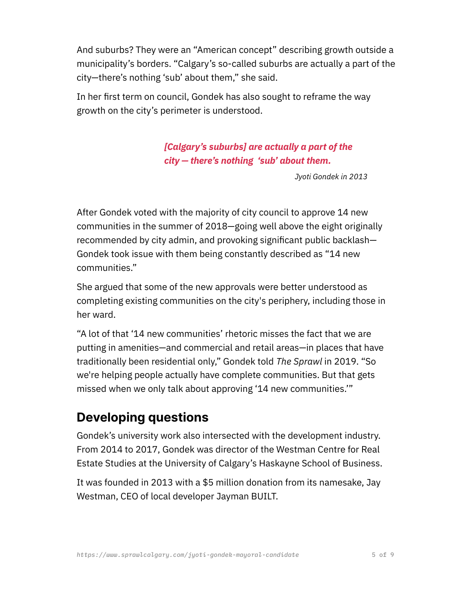And suburbs? They were an "American concept" describing growth outside a municipality's borders. "Calgary's so-called suburbs are actually a part of the city—there's nothing 'sub' about them," she said.

In her first term on council, Gondek has also sought to reframe the way growth on the city's perimeter is understood.

> *[Calgary's suburbs] are actually a part of the city — there's nothing 'sub' about them.*

> > *Jyoti Gondek in 2013*

After Gondek voted with the majority of city council to approve 14 new communities in the summer of 2018—going well above the eight originally recommended by city admin, and provoking significant public backlash— Gondek took issue with them being constantly described as "14 new communities."

She argued that some of the new approvals were better understood as completing existing communities on the city's periphery, including those in her ward.

"A lot of that '14 new communities' rhetoric misses the fact that we are putting in amenities—and commercial and retail areas—in places that have traditionally been residential only," Gondek told *The Sprawl* in 2019. "So we're helping people actually have complete communities. But that gets missed when we only talk about approving '14 new communities.'"

### **Developing questions**

Gondek's university work also intersected with the development industry. From 2014 to 2017, Gondek was director of the Westman Centre for Real Estate Studies at the University of Calgary's Haskayne School of Business.

It was founded in 2013 with a \$5 million donation from its namesake, Jay Westman, CEO of local developer Jayman BUILT.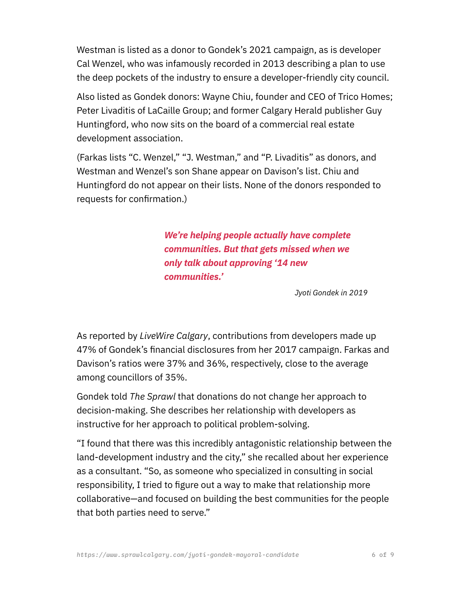Westman is listed as a donor to Gondek's 2021 campaign, as is developer Cal Wenzel, who was infamously recorded in 2013 describing a plan to use the deep pockets of the industry to ensure a developer-friendly city council.

Also listed as Gondek donors: Wayne Chiu, founder and CEO of Trico Homes; Peter Livaditis of LaCaille Group; and former Calgary Herald publisher Guy Huntingford, who now sits on the board of a commercial real estate development association.

(Farkas lists "C. Wenzel," "J. Westman," and "P. Livaditis" as donors, and Westman and Wenzel's son Shane appear on Davison's list. Chiu and Huntingford do not appear on their lists. None of the donors responded to requests for confirmation.)

> *We're helping people actually have complete communities. But that gets missed when we only talk about approving '14 new communities.'*

> > *Jyoti Gondek in 2019*

As reported by *LiveWire Calgary*, contributions from developers made up 47% of Gondek's financial disclosures from her 2017 campaign. Farkas and Davison's ratios were 37% and 36%, respectively, close to the average among councillors of 35%.

Gondek told *The Sprawl* that donations do not change her approach to decision-making. She describes her relationship with developers as instructive for her approach to political problem-solving.

"I found that there was this incredibly antagonistic relationship between the land-development industry and the city," she recalled about her experience as a consultant. "So, as someone who specialized in consulting in social responsibility, I tried to figure out a way to make that relationship more collaborative—and focused on building the best communities for the people that both parties need to serve."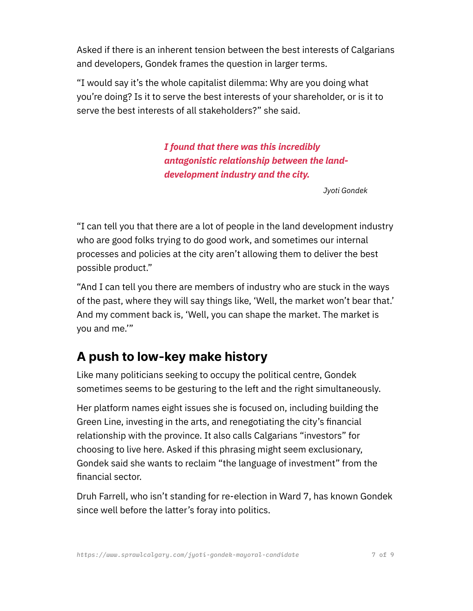Asked if there is an inherent tension between the best interests of Calgarians and developers, Gondek frames the question in larger terms.

"I would say it's the whole capitalist dilemma: Why are you doing what you're doing? Is it to serve the best interests of your shareholder, or is it to serve the best interests of all stakeholders?" she said.

> *I found that there was this incredibly antagonistic relationship between the landdevelopment industry and the city.*

> > *Jyoti Gondek*

"I can tell you that there are a lot of people in the land development industry who are good folks trying to do good work, and sometimes our internal processes and policies at the city aren't allowing them to deliver the best possible product."

"And I can tell you there are members of industry who are stuck in the ways of the past, where they will say things like, 'Well, the market won't bear that.' And my comment back is, 'Well, you can shape the market. The market is you and me.'"

#### **A push to low-key make history**

Like many politicians seeking to occupy the political centre, Gondek sometimes seems to be gesturing to the left and the right simultaneously.

Her platform names eight issues she is focused on, including building the Green Line, investing in the arts, and renegotiating the city's financial relationship with the province. It also calls Calgarians "investors" for choosing to live here. Asked if this phrasing might seem exclusionary, Gondek said she wants to reclaim "the language of investment" from the financial sector.

Druh Farrell, who isn't standing for re-election in Ward 7, has known Gondek since well before the latter's foray into politics.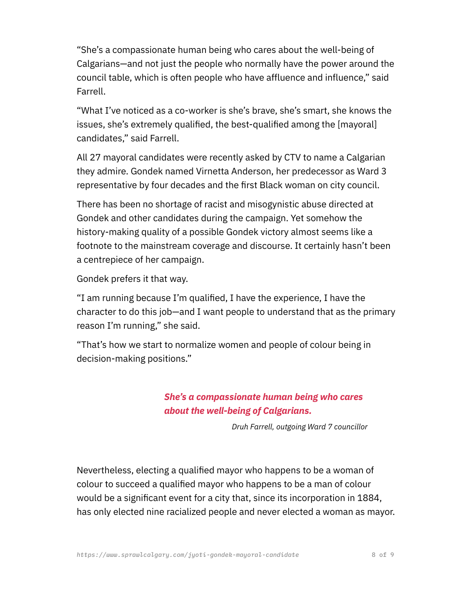"She's a compassionate human being who cares about the well-being of Calgarians—and not just the people who normally have the power around the council table, which is often people who have affluence and influence," said Farrell.

"What I've noticed as a co-worker is she's brave, she's smart, she knows the issues, she's extremely qualified, the best-qualified among the [mayoral] candidates," said Farrell.

All 27 mayoral candidates were recently asked by CTV to name a Calgarian they admire. Gondek named Virnetta Anderson, her predecessor as Ward 3 representative by four decades and the first Black woman on city council.

There has been no shortage of racist and misogynistic abuse directed at Gondek and other candidates during the campaign. Yet somehow the history-making quality of a possible Gondek victory almost seems like a footnote to the mainstream coverage and discourse. It certainly hasn't been a centrepiece of her campaign.

Gondek prefers it that way.

"I am running because I'm qualified, I have the experience, I have the character to do this job—and I want people to understand that as the primary reason I'm running," she said.

"That's how we start to normalize women and people of colour being in decision-making positions."

#### *She's a compassionate human being who cares about the well-being of Calgarians.*

*Druh Farrell, outgoing Ward 7 councillor*

Nevertheless, electing a qualified mayor who happens to be a woman of colour to succeed a qualified mayor who happens to be a man of colour would be a significant event for a city that, since its incorporation in 1884, has only elected nine racialized people and never elected a woman as mayor.